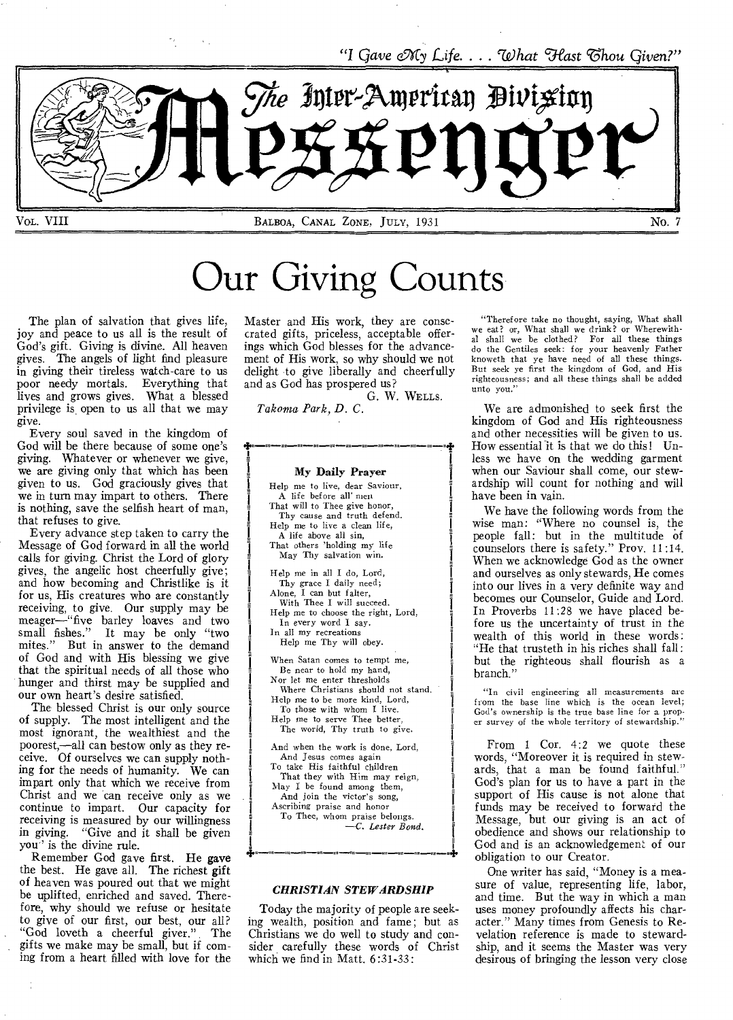*"I Gave Ncy Life.... To hat Hast Chou Given?"* 



Our Giving Counts

The plan of salvation that gives life, joy and peace to us all is the result of God's gift. Giving is divine. All heaven gives. The angels of light find pleasure in giving their tireless watch-care to us poor needy mortals. Everything that lives and grows gives. What a blessed privilege is open to us all that we may give.

Every soul saved in the kingdom of God will be there because of some one's giving. Whatever or whenever we give, we are giving only that which has been given to us. God graciously gives that we in turn may impart to others. There is nothing, save the selfish heart of man, that refuses to give.

Every advance step taken to carry the Message of God forward in all the world calls for giving. Christ the Lord of glory gives, the angelic host cheerfully give; and how becoming and Christlike is it for us, His creatures who are constantly receiving, to give. Our supply may be meager—"five barley loaves and two small fishes." It may be only "two mites." But in answer to the demand of God and with His blessing we give that the spiritual needs of all those who hunger and thirst may be supplied and our own heart's desire satisfied.

The blessed Christ is our only source of supply. The most intelligent and the most ignorant, the wealthiest and the poorest,—all can bestow only as they receive. Of ourselves we can supply nothing for the needs of humanity. We can impart only that which we receive from Christ and we can receive only as we continue to impart. Our capacity for receiving is measured by our willingness<br>in giving. "Give and it shall be given "Give and it shall be given you'' is the divine rule.

Remember God gave first. He gave the best. He gave all. The richest gift of heaven was poured out that we might be uplifted, enriched and saved. Therefore, why should we refuse or hesitate to give of our first, our best, our all? "God loveth a cheerful giver." The gifts we make may be small, but if coming from a heart filled with love for the

 $\frac{1}{\sqrt{2}}$ 

Master and His work, they are consecrated gifts, priceless, acceptable offerings which God blesses for the advancement of His work, so why should we not delight to give liberally and cheerfully and as God has prospered us?

G. W. WELLS.

*Takonia Park, D. C.* 

u

#### My Daily Prayer

Help me to live, dear Saviour, A life before all' men That will to Thee give honor, Thy cause and truth defend. Help me to live a clean life, A life above all sin, That others 'holding my life May Thy salvation win. Help me in all I do, Lord, Thy grace I daily need; Alone, I can but falter, With Thee I will succeed. Help me to choose the right, Lord, In every word I say. In all my recreations Help me Thy will obey. When Satan comes to tempt me, Be near to hold my hand, Nor let me enter thresholds Where Christians should not stand. Help me to be more kind, Lord, To those with whom I live. Help me to serve Thee better, The world, Thy truth to give. And when the work is done, Lord, And Jesus comes again To take His faithful children That they with Him may reign, May I be found among them, And join the victor's song, Ascribing praise and honor To Thee, whom praise belongs. *—C. Lester Bond.* 

#### *CHRISTIAN STEWARDSHIP*

Today the majority of people are seeking wealth, position and fame; but as Christians we do well to study and consider carefully these words of Christ which we find in Matt. 6:31-33:

"Therefore take no thought, saying, What shall we eat? or, What shall we drink? or Wherewith. al shall we be clothed? For all these things do the Gentiles seek: for your heavenly Father knoweth that ye have need of all these things. But seek ye first the kingdom of God, and His righteousness; and all these things shall be added unto you."

We are admonished to seek first the kingdom of God and His righteousness and other necessities will be given to us. How essential it is that we do this! Unless we have on the wedding garment when our Saviour shall come, our stewardship will count for nothing and will have been in vain.

We have the following words from the wise man: "Where no counsel is, the people fall: but in the multitude of counselors there is safety." Prov. 11:14. When we acknowledge God as the owner and ourselves as only stewards, He comes into our lives in a very definite way and becomes our Counselor, Guide and Lord. In Proverbs 11:28 we have placed before us the uncertainty of trust in the wealth of this world in these words: "He that trusteth in his riches shall fall: but the righteous shall flourish as a branch.'

"In civil engineering all measurements are from the base line which is the ocean level; God's ownership is the true base line for a proper survey of the whole territory of stewardship."

From 1 Cor. 4:2 we quote these words, "Moreover it is required in stewards, that a man be found faithful." God's plan for us to have a part in the support of His cause is not alone that funds may be received to forward the Message, but our giving is an act of obedience and shows our relationship to God and is an acknowledgement of our obligation to our Creator.

One writer has said, "Money is a measure of value, representing life, labor, and time. But the way in which a man uses money profoundly affects his character." Many times from Genesis to Revelation reference is made to stewardship, and it seems the Master was very desirous of bringing the lesson very close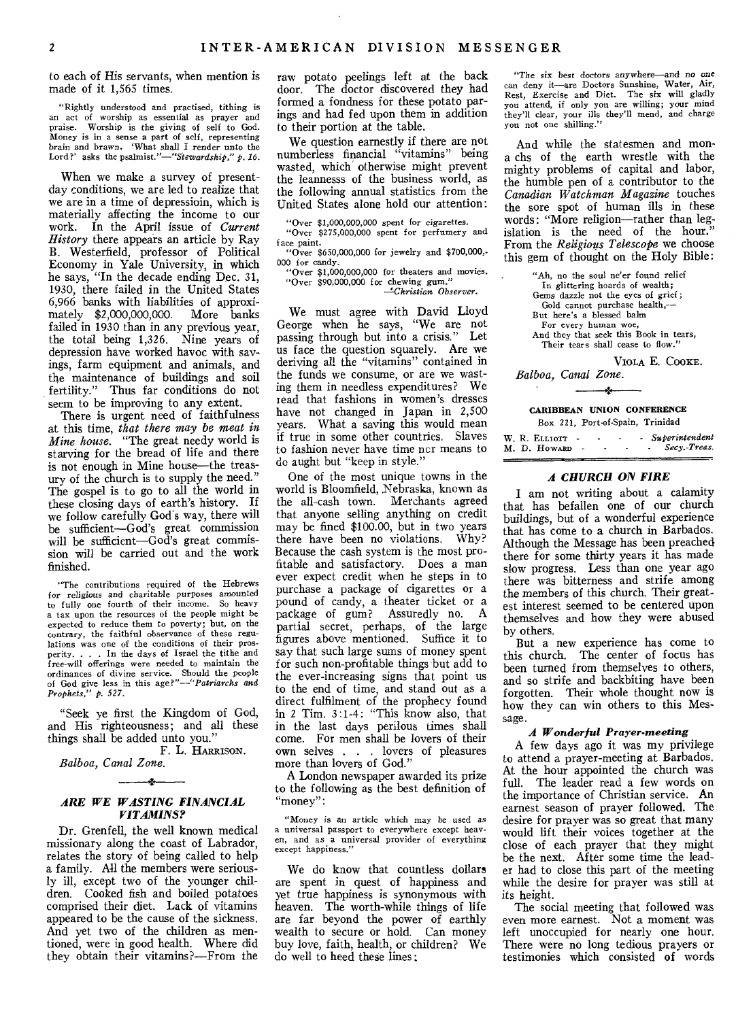to each of His servants, when mention is made of it 1,565 times.

"Rightly understood and practised, tithing is an act of worship as essential as prayer and praise. Worship is the giving of self to God. Money is in a sense a part of self, representing brain and brawn. 'What shall I render unto the Lord?' asks the *psalmist.*"—"Stewardship," p. 16.

When we make a survey of presentday conditions, we are led to realize that we are in a time of depressioin, which is materially affecting the income to our work. In the April issue of *Current History* there appears an article by Ray B. Westerfield, professor of Political Economy in Yale University, in which he says, "In the decade ending Dec. 31, 1930, there failed in the United States 6,966 banks with liabilities of approximately \$2,000,000,000. More banks failed in 1930 than in any previous year, the total being 1,326. Nine years of depression have worked havoc with savings, farm equipment and animals, and the maintenance of buildings and soil fertility." Thus far conditions do not seem to be improving to any extent.

There is urgent need of faithfulness at this time, *that there may be meat in Mine house.* "The great needy world is starving for the bread of life and there is not enough in Mine house—the treasury of the church is to supply the need." The gospel is to go to all the world in these closing days of earth's history. If we follow carefully Gods way, there will be sufficient—God's great commission will be sufficient—God's great commission will be carried out and the work finished.

"The contributions required of the Hebrews for *religious* and charitable purposes amounted to fully one fourth of their income. So heavy a tax upon the resources of the people might be expected to reduce them to poverty; but, on the contrary, the faithful observance of these regulations was one of the conditions of their prosperity. . . . In the days of Israel the tithe and free-will offerings were needed to maintain the ordinances of divine service. Should the people of God give less in this *age?"—"Patriarchs and Prophets," p. 527.* 

"Seek ye first the Kingdom of God, and His righteousness; and all these things shall be added unto you."

F. **L.** HARRISON. *Balboa, Canal Zone.*  J.

# *ARE WE WASTING FINANCIAL VITAMINS?*

Dr. Grenfell, the well known medical missionary along the coast of Labrador, relates the story of being called to help a family. All the members were seriously ill, except two of the younger children. Cooked fish and boiled potatoes comprised their diet. Lack of vitamins appeared to be the cause of the sickness. And yet two of the children as mentioned, were in good health. Where did they obtain their vitamins?—From the

raw potato peelings left at the back door. The doctor discovered they had formed a fondness for these potato parings and had fed upon them in addition to their portion at the table.

We question earnestly if there are not numberless financial "vitamins" being wasted, which otherwise might prevent the leannesss of the business world, as the following annual statistics from the United States alone hold our attention:

"Over \$1,000,000,000 spent for *cigarettes.*  "Over \$275,000,000 spent for perfumery and

face paint. "Over \$650,000,000 for jewelry and \$700,000,.

000 for candy. "Over \$1,000,000,000 for theaters and movies.

"Over \$90,000,000 for chewing gum." *=Christian Observer.* 

We must agree with David Lloyd George when he says, "We are not passing through but into a crisis." Let us face the question squarely. Are we deriving all the "vitamins" contained in the funds we consume, or are we wasting them in needless expenditures? We read that fashions in women's dresses have not changed in Japan in 2,500 years. What a saving this would mean if true in some other countries. Slaves to fashion never have time ncr means to do aught but "keep in style."

One of the most unique towns in the world is Bloomfield, Nebraska, known as the all-cash town. Merchants agreed that anyone selling anything on credit may be fined \$100.00, but in two years there have been no violations. Why? Because the cash system is the most profitable and satisfactory. Does a man ever expect credit when he steps in to purchase a package of cigarettes or a pound of candy, a theater ticket or a package of gum? Assuredly no. A partial secret, perhaps, of the large figures above mentioned. Suffice it to say that such large sums of money spent for such non-profitable things but add to the ever-increasing signs that point us to the end of time, and stand out as a direct fulfilment of the prophecy found in 2 Tim. 3:1-4: "This know also, that in the last days perilous times shall come. For men shall be lovers of their own selves . . . lovers of pleasures more than lovers of God."

A London newspaper awarded its prize to the following as the best definition of "money":

"Money is an article which may be used as a universal passport to everywhere except heaven, and as a universal provider of everything except happiness."

We do know that countless dollars are spent in quest of happiness and yet true happiness is synonymous with heaven. The worth-while things of life are far beyond the power of earthly wealth to secure or hold. Can money buy love, faith, health, or children? We do well to heed these lines:

"The six best doctors anywhere—and no one can deny it—are Doctors Sunshine, Water, Air, Rest, Exercise and Diet. The six will gladly you attend, if only you are willing; your mind they'll clear, your ills they'll mend, and charge you not one shilling."

And while the statesmen and mona chs of the earth wrestle with the mighty problems of capital and labor, the humble pen of a contributor to the *Canadian Watchman Magazine* touches the sore spot of human ills in these words: "More religion—rather than leg-islation is the need of the hour." From the *Religious Telescope* we choose this gem of thought on the Holy Bible:

> "Ah, no the soul ne'er found relief In glittering hoards of wealth; Gems dazzle not the eyes of grief; Gold cannot purchase health,— But here's a blessed balm For every human woe, And they that seek this Book in tears, Their tears shall cease to flow.'

VIOLA E. COOKE. *Balboa, Canal Zone.* 

# **CARIBBEAN UNION CONFERENCE**  Box 221, Port-of-Spain, Trinidad

 $\overline{\phantom{a}}$ 

|  | W. R. ELLIOTT - |  | - Superintendent |
|--|-----------------|--|------------------|
|  | M. D. HOWARD    |  | Secv.-Treas.     |

# *A CHURCH ON FIRE*

*I* am not writing about a calamity that has befallen one of our church buildings, but of a wonderful experience that has come to a church in Barbados. Although the Message has been preached there for some thirty years it has made slow progress. Less than one year ago there was bitterness and strife among the members of this church. Their greatest interest seemed to be centered upon themselves and how they were abused by others.

But a new experience has come to this church. The center of focus has been turned from themselves to others, and so strife and backbiting have been forgotten. Their whole thought now is how they can win others to this Message.

# *A Wonderful Prayer-meeting*

A few days ago it was my privilege to attend a prayer-meeting at Barbados. At the hour appointed the church was full. The leader read a few words on the importance of Christian service. An earnest season of prayer followed. The desire for prayer was so great that many would lift their voices together at the close of each prayer that they might be the next. After some time the leader had to close this part of the meeting while the desire for prayer was still at its height.

The social meeting that followed was even more earnest. Not a moment was left unoccupied for nearly one hour. There were no long tedious prayers or testimonies which consisted **of** words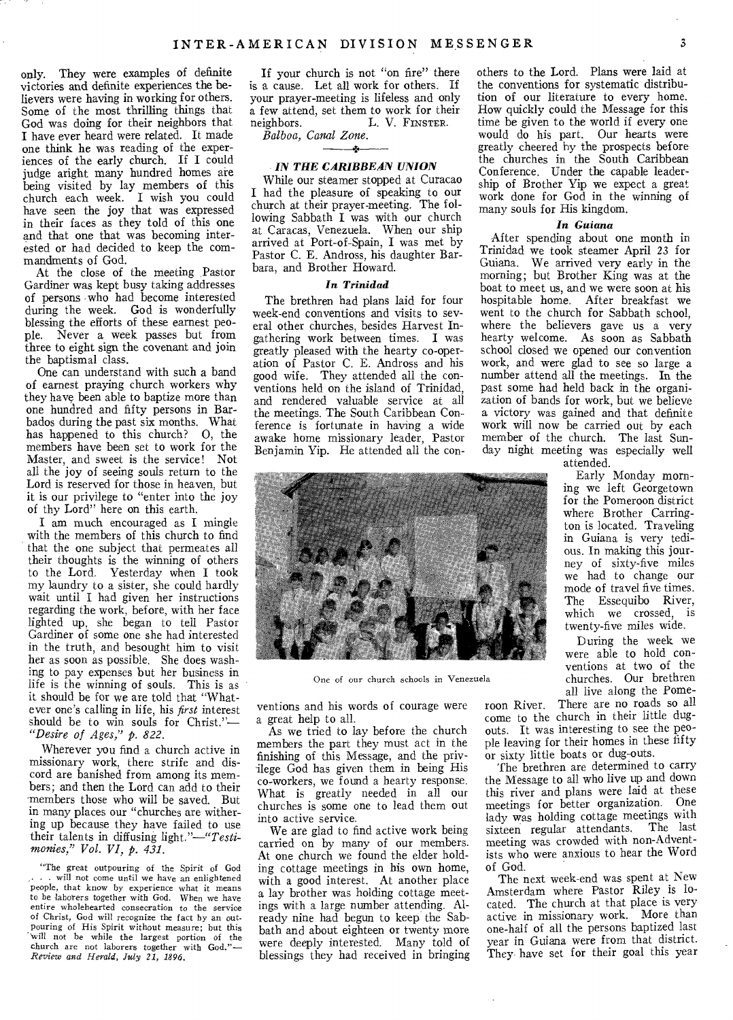only. They were examples of definite victories and definite experiences the believers were having in working for others. Some of the most thrilling things that God was doing for their neighbors that I have ever heard were related. It made one think he was reading of the experiences of the early church. If I could judge aright many hundred homes are being visited by lay members of this church each week. I wish you could have seen the joy that was expressed in their faces as they told of this one and that one that was becoming interested or had decided to keep the commandments of God.

At the close of the meeting Pastor Gardiner was kept busy taking addresses of persons ,who had become interested during the week. God is wonderfully blessing the efforts of these earnest people. Never a week passes but from three to eight sign the covenant and join the baptismal class.

One can understand with such a band of earnest praying church workers why they have been able to baptize more than one hundred and fifty persons in Barbados during the past six months. What has happened to this church? 0, the members have been set to work for the Master, and sweet is the service! Not all the joy of seeing souls return to the Lord is reserved for those in heaven, but it is our privilege to "enter into the joy of thy Lord" here on this earth.

I am much encouraged as I mingle with the members of this church to find that the one subject that permeates all their thoughts is the winning of others to the Lord. Yesterday when I took my laundry to a sister, she could hardly wait until I had given her instructions regarding the work, before, with her face lighted up, she began to tell Pastor Gardiner of some one she had interested in the truth, and besought him to visit her as soon as possible. She does washing to pay expenses but her business in life is the winning of souls. This is as it should be for we are told that "Whatever one's calling in life, his *first* interest should be to win souls for Christ."— *"Desire of Ages," p. 822.* 

Wherever you find a church active in missionary work, there strife and discord are banished from among its members; and then the Lord can add to their 'members those who will be saved. But in many places our "churches are withering up because they have failed to use their talents in diffusing *light."—"Testimonies," Vol. VI, p. 431.* 

"The great outpouring of the Spirit of God . . will not come until we have an enlightened people, that know by experience what it means to be laborers together with God. When we have entire wholehearted consecration to the service of Christ, God will recognize the fact by an outpouring of His Spirit without measure; but this will not be while the largest portion of the church are not laborers together with God."— *Review and Herald, July 21, 1896.* 

If your church is not "on fire" there is a cause. Let all work for others. If your prayer-meeting is lifeless and only a few attend, set them to work for their<br>neighbors. L. V. FINSTER. L. V. FINSTER.

*Balboa, Canal Zone.* 

#### *IN THE CARIBBEAN UNION*

While our steamer stopped at Curacao I had the pleasure of speaking to our church at their prayer-meeting. The following Sabbath I was with our church at Caracas, Venezuela. When our ship arrived at Port-of-Spain, I was met by Pastor C. E. Andross, his daughter Barbara, and Brother Howard.

#### *In Trinidad*

The brethren had plans laid for four week-end conventions and visits to several other churches, besides Harvest Ingathering work between times. I was greatly pleased with the hearty co-operation of Pastor C. E. Andross and his good wife. They attended all the conventions held on the island of Trinidad, and rendered valuable service at all the meetings. The South Caribbean Conference is fortunate in having a wide awake home missionary leader, Pastor Benjamin Yip. He attended all the con-



One of our church schools in Venezuela

ventions and his words of courage were a great help to all.

As we tried to lay before the church members the part they must act in the finishing of this Message, and the privilege God has given them in being His co-workers, we found a hearty response. What is greatly needed in all our churches is some one to lead them out into active service.

We are glad to find active work being carried on by many of our members. At one church we found the elder holding cottage meetings in his own home, with a good interest. At another place a lay brother was holding cottage meetings with a large number attending. Already nine had begun to keep the Sabbath and about eighteen or twenty more were deeply interested. Many told of blessings they had received in bringing

others to the Lord. Plans were laid at the conventions for systematic distribution of our literature to every home. How quickly could the Message for this time be given to the world if every one would do his part. Our hearts were greatly cheered by the prospects before the churches in the South Caribbean Conference. Under the capable leadership of Brother Yip we expect a great work done for God in the winning of many souls for His kingdom.

## *In Guiana*

After spending about one month in Trinidad we took steamer April 23 for Guiana. We arrived very early in the morning; but Brother King was at the boat to meet us, and we were soon at his hospitable home. After breakfast we went to the church for Sabbath school, where the believers gave us a very hearty welcome. As soon as Sabbath school closed we opened our convention work, and were glad to see so large a number attend all the meetings. In the past some had held back in the organization of bands for work, but we believe a victory was gained and that definite work will now be carried out by each member of the church. The last Sunday night meeting was especially well

attended.

Early Monday morning we left Georgetown for the Pomeroon district where Brother Carrington is located. Traveling in Guiana is very tedious. In making this journey of sixty-five miles we had to change our mode of travel five times. The Essequibo River, which we crossed, is twenty-five miles wide.

During the week we were able to hold conventions at two of the churches. Our brethren all live along the Pome-

roon River. There are no roads so all come to the church in their little dugouts. It was interesting to see the people leaving for their homes in these fifty or sixty little boats or dug-outs.

The brethren are determined to carry the Message to all who live up and down this river and plans were laid at these meetings for better organization. One lady was holding cottage meetings with sixteen regular attendants. The last meeting was crowded with non-Adventists who were anxious to hear the Word of God.

The next week-end was spent at New Amsterdam where Pastor Riley is located. The church at that place is very active in missionary work. More than one-half of all the persons baptized last year in Guiana were from that district. They have set for their goal this year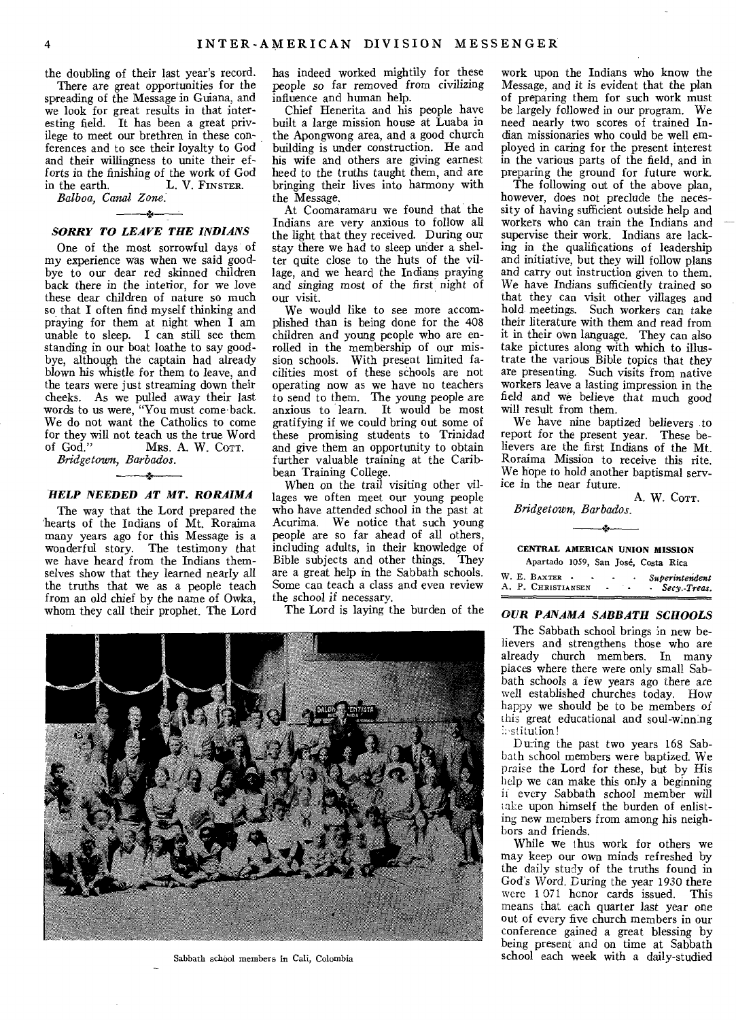the doubling of their last year's record.

There are great opportunities for the spreading of the Message in Guiana, and we look for great results in that interesting field. It has been a great privilege to meet our brethren in these conferences and to see their loyalty to God and their willingness to unite their efforts in the finishing of the work of God<br>in the earth. L. V. FINSTER. L. V. FINSTER.

*Balboa, Canal Zone.* 

# $\overline{\phantom{a}}$ *SORRY TO LEAVE THE INDIANS*

One of the most sorrowful days of my experience was when we said goodbye to our dear red skinned children back there in the interior, for we love these dear children of nature so much so that I often find myself thinking and praying for them at night when I am unable to sleep. I can still see them standing in our boat loathe to say goodbye, although the captain had already blown his whistle for them to leave, and the tears were just streaming down their cheeks. As we pulled away their last words to us were, "You must come back. We do not want the Catholics to come for they will not teach us the true Word<br>of God." Mrs. A. W. Corr. Mrs. A. W. COTT.

*Bridgetown, Barbados.* 

# *HELP NEEDED AT MT. RORAIMA*

The way that the Lord prepared the hearts of the Indians of Mt. Roraima many years ago for this Message is a wonderful story. The testimony that we have heard from the Indians themselves show that they learned nearly all the truths that we as a people teach from an old chief by the name of Owka, whom they call their prophet. The Lord has indeed worked mightily for these people so far removed from civilizing influence and human help.

Chief Henerita and his people have built a large mission house at Luaba in the Apongwong area, and a good church building is under construction. He and his wife and others are giving earnest heed to the truths taught them, and are bringing their lives into harmony with the Message.

At Coomaramaru we found that the Indians are very anxious to follow all the light that they received. During our stay there we had to sleep under a shelter quite close to the huts of the village, and we heard the Indians praying and *singing* most of the first night of our visit.

We would like to see more accomplished than is being done for the 408 children and young people who are enrolled in the membership of our mission schools. With present limited facilities most of these schools are not operating now as we have no teachers to send to them. The young people are anxious to learn. It would be most gratifying if we could bring out some of these promising students to Trinidad and give them an opportunity to obtain further valuable training at the Caribbean Training College.

When on the trail visiting other villages we often meet our young people who have attended school in the past at Acurima. We notice that such young people are so far ahead of all others, including adults, in their knowledge of Bible subjects and other things. They are a great help in the Sabbath schools. Some can teach a class and even review the school if necessary.

The Lord is laying the burden of the

Sabbath school members in Cali, Colombia

work upon the Indians who know the Message, and it is evident that the plan of preparing them for such work must be largely followed in our program. We need nearly two scores of trained Indian missionaries who could be well employed in caring for the present interest in the various parts of the field, and in preparing the ground for future work.

The following out of the above plan, however, does not preclude the necessity of having sufficient outside help and workers who can train the Indians and supervise their work. Indians are lacking in the qualifications of leadership and initiative, but they will follow plans and carry out instruction given to them. We have Indians sufficiently trained so that they can visit other villages and hold meetings. Such workers can take their literature with them and read from it in their own language. They can also take pictures along with which to illustrate the various Bible topics that they are presenting. Such visits from native workers leave a lasting impression in the field and we believe that much good will result from them.

We have nine baptized believers to report for the present year. These believers are the first Indians of the Mt. Roraima Mission to receive this rite. We hope to hold another baptismal service in the near future.

A. W. COTT. *Bridgetown, Barbados.* 

橘

#### **CENTRAL AMERICAN UNION MISSION**

|  | Apartado 1059, San José, Costa Rica |  |  |                       |
|--|-------------------------------------|--|--|-----------------------|
|  | E Bayron.                           |  |  | <b>Curronistan da</b> |

| W. E. BAXTER -     |  | Superintendent |
|--------------------|--|----------------|
| A. P. CHRISTIANSEN |  | - Secy.-Treas. |
|                    |  |                |

# *OUR PANAMA SABBATH SCHOOLS*

The Sabbath school brings in new believers and strengthens those who are already church members. In many places where there were only small Sabbath schools a few years ago there *are*  well established churches today. How happy we should be to be members of this great educational and soul-winning is stitution!

During the past two years 168 Sabbath school members were baptized. We praise the Lord for these, but by His help we can make this only a beginning ii every Sabbath school member will take upon himself the burden of enlisting new members from among his neighbors and friends.

While we thus work for others we may keep our own minds refreshed by the daily study of the truths found in God's Word. During the year 1930 there were 1 071 honor cards issued. This means that each quarter last year one out of every five church members in our conference gained a great blessing by being present and on time at Sabbath school each week with a daily-studied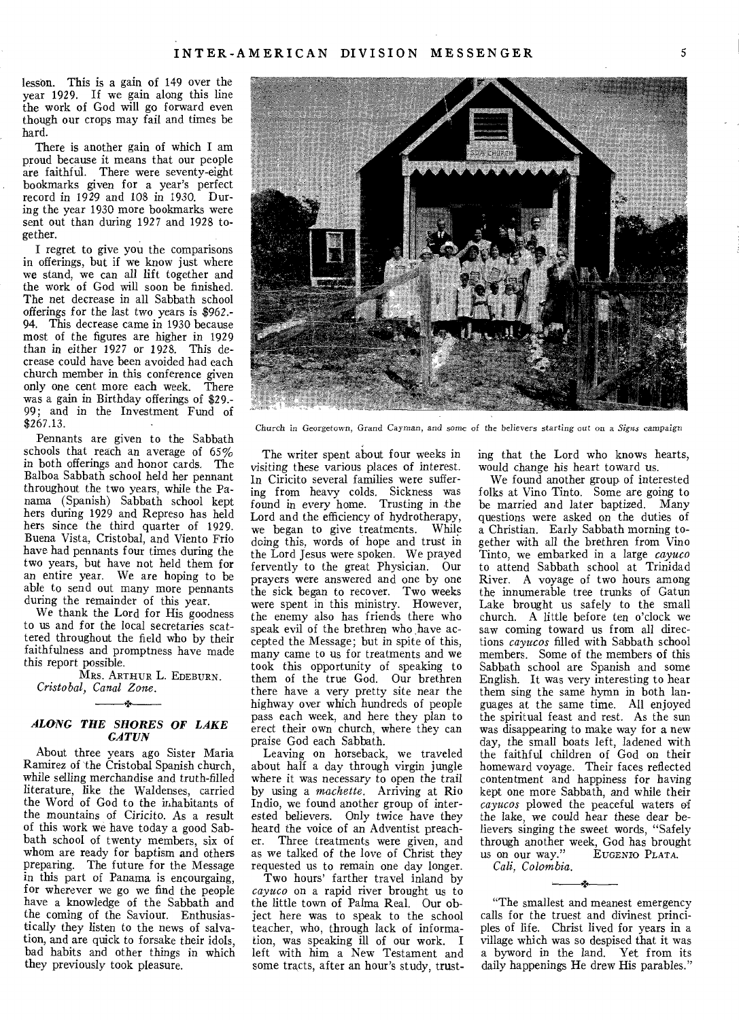lesson. This is a gain of 149 over the year 1929. If we gain along this line the work of God will go forward even though our crops may fail and times be hard.

There is another gain of which I am proud because it means that our people are faithful. There were seventy-eight bookmarks given for a year's perfect record in 1929 and 108 in 1930. During the year 1930 more bookmarks were sent out than during 1927 and 1928 together.

I regret to give you the comparisons in offerings, but if we know just where we stand, we can all lift together and the work of God will soon be finished. The net decrease in all Sabbath school offerings for the last two years is \$962.- 94. This decrease came in 1930 because most of the figures are higher in 1929 than in either 1927 or 1928. This decrease could have been avoided had each church member in this conference given only one cent more each week. There was a gain in Birthday offerings of \$29.- 99; and in the Investment Fund of  $$267.13.$ 

Pennants are given to the Sabbath schools that reach an average of 65% in both offerings and honor cards. The Balboa Sabbath school held her pennant throughout the two years, while the Panama (Spanish) Sabbath school kept hers during 1929 and Represo has held hers since the third quarter of 1929. Buena Vista, Cristobal, and Viento Frio have had pennants four times during the two years, but have not held them for an entire year. We are hoping to be able to send out many more pennants during the remainder of this year.

We thank the Lord for His goodness to us and for the local secretaries scattered throughout the field who by their faithfulness and promptness have made this report possible.

MRS. ARTHUR **L.** EDEBURN. *Cristobal, Canal Zone.*  لمعد

## *ALONG THE SHORES OF LAKE GATUN*

About three years ago Sister Maria Ramirez of the Cristobal Spanish church, while *selling* merchandise and truth-filled literature, like the Waldenses, carried the Word of God to the inhabitants of the mountains of Ciricito. As a result of this work we have today a good Sabbath school of twenty members, six of whom are ready for baptism and others preparing. The future for the Message in this part of Panama is encourgaing, for wherever we go we find the people have a knowledge of the Sabbath and the coming of the Saviour. Enthusiastically they listen to the news of salvation, and are quick to forsake their idols, bad habits and other things in which they previously took pleasure.



**Church in Georgetown, Grand Cayman, and some of the believers** *starting oat* **on a** *Signs campaign* 

The writer spent about four weeks in visiting these various places of interest. In Ciricito several families were suffering from heavy colds. Sickness was found in every home. Trusting in the Lord and the efficiency of hydrotherapy, we began to give treatments. While doing this, words of hope and trust in the Lord Jesus were spoken. We prayed fervently to the great Physician. Our prayers were answered and one by one the sick began to recover. Two weeks were spent in this ministry. However, the enemy also has friends there who speak evil of the brethren who have accepted the Message; but in spite of this, many came to us for treatments and we took this opportunity of speaking to them of the true God. Our brethren there have a very pretty site near the highway over which hundreds of people pass each week, and here they plan to erect their own church, where they can praise God each Sabbath.

Leaving on horseback, we traveled about half a day through virgin jungle where it *was* necessary to open the trail by using a *machette.* Arriving at Rio Indio, we found another group of interested believers. Only twice have they heard the voice of an Adventist preach-<br>er. Three treatments were given and Three treatments were given, and as we talked of the love of Christ they requested us to remain one day longer.

Two hours' farther travel inland by *cayuco* on a rapid river brought us to the little town of Palma Real. Our object here was to speak to the school teacher, who, through lack of information, was speaking ill of our work. I left with him a New Testament and some tracts, after an hour's study, trusting that the Lord who knows hearts, would change his heart toward us.

We found another group of interested folks at Vino Tinto. Some are going to be married and later baptized. Many questions were asked on the duties of a Christian. Early Sabbath morning together with all the brethren from Vino Tinto, we embarked in a large *cayuco*  to attend Sabbath school at Trinidad River. A voyage of two hours among the innumerable tree trunks of Gatun Lake brought us safely to the small church. A little before ten o'clock we saw coming toward us from all directions *cayucos* filled with Sabbath school members. Some of the members of this Sabbath school are Spanish and some English. It was very interesting to hear them sing the same hymn in both languages at the same time. All enjoyed the spiritual feast and rest. As the sun was disappearing to make way for a new day, the small boats left, ladened with the faithful children of God on their homeward voyage. Their faces reflected contentment and happiness for having kept one more Sabbath, and while their *cayucos* plowed the peaceful waters of the lake, we could hear these dear believers singing the sweet words, "Safely through another week, God has brought<br>us on our way." EUGENIO PLATA. us on our way." *Cali, Colombia.* 

"The smallest and meanest emergency calls for the truest and divinest principles of life. Christ lived for years in a village which was so despised that it was a byword in the land. Yet from its daily happenings He drew His parables."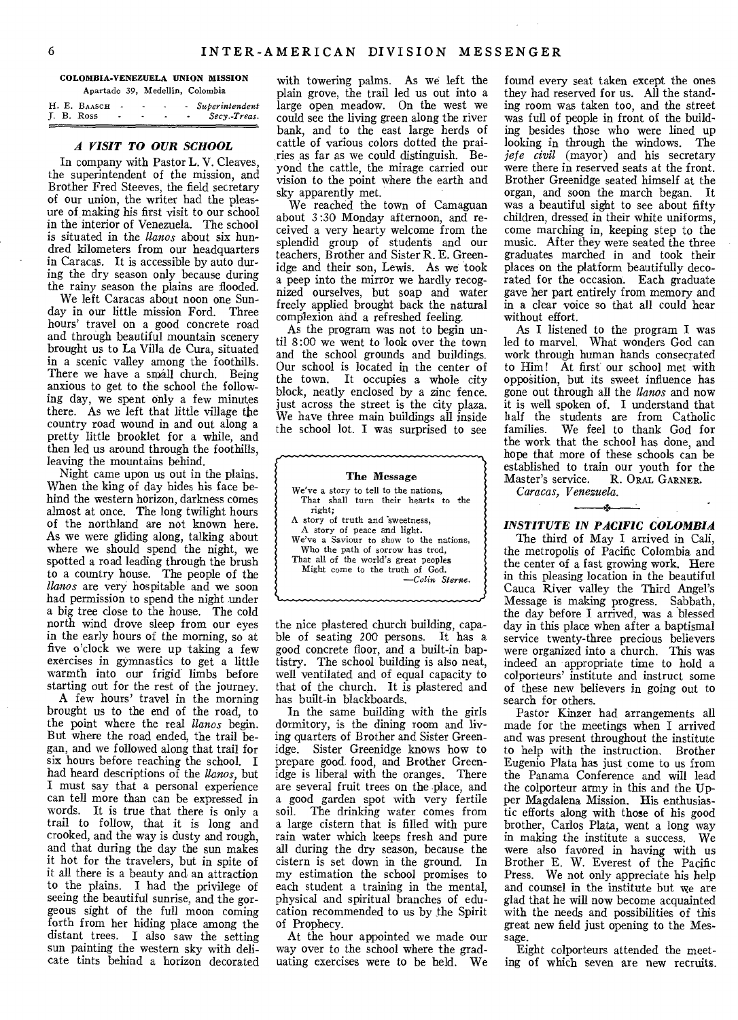#### **COLOMBIA-VENEZUELA UNION MISSION**  Apartado 39, Medellin, Colombia

|  | H. E. BAASCH |  |  | <i><b>Superintendent</b></i> |
|--|--------------|--|--|------------------------------|
|  | J. B. Ross   |  |  | Secy Treas.                  |
|  |              |  |  |                              |

# *A VISIT TO OUR SCHOOL*

In company with Pastor L. V. Cleaves, the superintendent of the mission, and Brother Fred Steeves, the field secretary of our union, the writer had the pleasure of making his first visit to our school in the interior of Venezuela. The school is situated in the *llanos* about six hundred kilometers from our headquarters in Caracas. It is accessible by auto during the dry season only because during the rainy season the plains are flooded.

We left Caracas about noon one Sunday in our little mission Ford. Three hours' travel on a good concrete road and through beautiful mountain scenery brought us to La Villa de Cura, situated in a scenic valley among the foothills. There we have a small church. Being anxious to get to the school the following day, we spent only a few minutes there. As we left that little village the country road wound in and out along a pretty little brooklet for a while, and then led us around through the foothills, leaving the mountains behind.

Night came upon us out in the plains. When the king of day hides his face behind the western horizon, darkness comes almost at once. The long twilight hours of the northland are not known here. As we were gliding along, talking about where we should spend the night, we spotted a road leading through the brush to a country house. The people of the *llanos* are very hospitable and we soon had permission to spend the night under a big tree close to the house. The cold north wind drove sleep from our eyes in the early hours of the morning, so at five o'clock we were up taking a few exercises in gymnastics to get a little warmth into our frigid limbs before starting out for the rest of the journey.

A few hours' travel in the morning brought us to the end of the road, to the point where the real *llanos* begin. But where the road ended, the trail began, and we followed along that trail for six hours before reaching the school. I had heard descriptions of the *llanos,* but I must say that a personal experience can tell more than can be expressed in words. It is true that there is only a trail to follow, that it is long and crooked, and the way is dusty and rough, and that during the day the sun makes it hot for the travelers, but in spite of it all there is a beauty and an attraction to the plains. I had the privilege of seeing the beautiful sunrise, and the gorgeous sight of the full moon coming forth from her hiding place among the distant trees. I also saw the setting sun painting the western sky with delicate tints behind a horizon decorated

with towering palms. As we left the plain grove, the trail led us out into a large open meadow. On the west we could see the living green along the river bank, and to the east large herds of cattle of various colors dotted the prairies as far as we could distinguish. Beyond the cattle, the mirage carried our vision to the point where the earth and sky apparently met.

We reached the town of Camaguan about 3:30 Monday afternoon, and received a very hearty welcome from the splendid group of students and our teachers, Brother and Sister R. E. Greenidge and their son, Lewis. As we took a peep into the mirror we hardly recognized ourselves, but soap and water freely applied brought back the natural complexion and a refreshed feeling.

As the program was not to begin until 8:00 we went to look over the town and the school grounds and buildings. Our school is located in the center of the town. It occupies a whole city block, neatly enclosed by a zinc fence. just across the street is the city plaza. We have three main buildings all inside the school lot. I was surprised to see

*The* Message We've a story to tell to the nations, That shall turn their hearts to the right; A story of truth and sweetness, A story of peace and light. We've a Saviour to show to the nations, Who the path of sorrow has trod, That all of the world's great peoples Might come to the truth of God. *—Colin Sterne.* 

the nice plastered church building, capable of seating 200 persons. It has a good concrete floor, and a built-in baptistry. The school building is also neat, well ventilated and of equal capacity to that of the church. It is plastered and has built-in blackboards.

In the same building with the girls dormitory, is the dining room and living quarters of Brother and Sister Greenidge. Sister Greenidge knows how to prepare good food, and Brother Greenidge is liberal with the oranges. There are several fruit trees on the place, and a good garden spot with very fertile soil. The drinking water comes from a large cistern that is filled with pure rain water which keeps fresh and pure all during the dry season, because the cistern is set down in the ground. In my estimation the school promises to each student a training in the mental, physical and spiritual branches of education recommended to us by the Spirit of Prophecy.

At the hour appointed we made our way over to the school where the graduating exercises were to be held. We

found every seat taken except the ones they had reserved for us. All the standing room was taken too, and the street was full of people in front of the building besides those who were lined up looking in through the windows. The *jefe civil* (mayor) and his secretary were there in reserved seats at the front. Brother Greenidge seated himself at the organ, and soon the march began. It was a beautiful sight to see about fifty children, dressed in their white uniforms, come marching in, keeping step to the music. After they were seated the three graduates marched in and took their places on the platform beautifully decorated for the occasion. Each graduate gave her part entirely from memory and in a clear voice so that all could hear without effort.

As I listened to the program I was led to marvel. What wonders God can work through human hands consecrated to Him! At first our school met with opposition, but its sweet influence has gone out through all the *Banos* and now it is well spoken of. I understand that half the students are from Catholic<br>families. We feel to thank God for We feel to thank God for the work that the school has done, and hope that more of these schools can be established to train our youth for the Master's service. R. ORAL GARNER. R. ORAL GARNER.

*Caracas, Venezuela.* 

# *INSTITUTE IN PACIFIC COLOMBIA*

The third of May I arrived in Cali, the metropolis of Pacific Colombia and the center of a fast growing work. Here in this pleasing location in the beautiful Cauca River valley the Third Angel's Message is making progress. Sabbath, the day before I arrived, was a blessed day in this place when after a baptismal service twenty-three precious believers were organized into a church. This was indeed an appropriate time to hold a colporteurs' institute and instruct some of these new believers in going out to search for others.

Pastor Kinzer had arrangements all made for the meetings when I arrived and was present throughout the institute to help with the instruction. Brother Eugenio Plata has just come to us from the Panama Conference and will lead the colporteur army in this and the Upper Magdalena Mission. His enthusiastic efforts along with those of his good brother, Carlos Plata, went a long way in making the institute a success. We were also favored in having with us Brother E. W. Everest of the Pacific Press. We not only appreciate his help and counsel in the institute but we are glad that he will now become acquainted with the needs and possibilities of this great new field just opening to the Message.

Eight colporteurs attended the meeting of which seven are new recruits.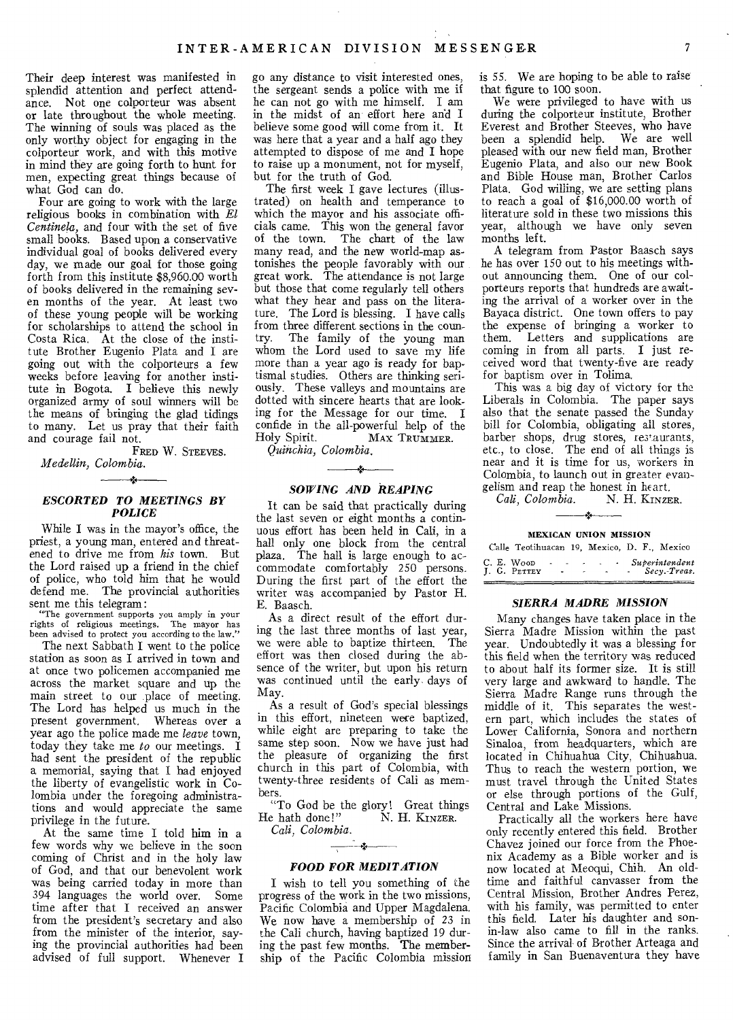Their deep interest was manifested in splendid attention and perfect attendance. Not one colporteur was absent or late throughout the whole meeting. The winning of souls was placed as the only worthy object for engaging in the colporteur work, and with this motive in mind they are going forth to hunt for men, expecting great things because of what God can do.

Four are going to work with the large religious books in combination with *El Centinela,* and four with the set of five small books. Based upon a conservative individual goal of books delivered every day, we made our goal for those going forth from this institute \$8,960.00 worth of books delivered in the remaining seven months of the year. At least two of these young people will be working for scholarships to attend the school in Costa Rica. At the close of the institute Brother Eugenio Plata and I are going out with the colporteurs a few weeks before leaving for another institute in Bogota. I believe this newly organized army of soul winners will be the means of bringing the glad tidings to many. Let us pray that their faith and courage fail not.

FRED W. STEEVES. *Medellin, Colombia.* 

# 4 *ESCORTED TO MEETINGS BY POLICE*

While I was in the mayor's office, the priest, a young man, entered and threatened to drive me from *his* town. But the Lord raised up a friend in the chief of police, who told him that he would defend me. The provincial authorities sent me this telegram:

"The government supports you amply in your rights of religious meetings. The mayor has been advised to protect you according to the law."

The next Sabbath I went to the police station as soon as I arrived in town and at once two policemen accompanied me across the market square and up the main street to our place of meeting. The Lord has helped us much in the present government, Whereas over a year ago the police made me *leave* town, today they take me *to* our meetings. I had sent the president of the republic a memorial, saying that I had enjoyed the liberty of evangelistic work in Colombia under the foregoing administrations and would appreciate the same privilege in the future.

At the same time I told him in a few words why we believe in the soon coming of Christ and in the holy law of God, and that our benevolent work was being carried today in more than 394 languages the world over. Some time after that I received an answer from the president's secretary and also from the minister of the interior, saying the provincial authorities had been advised of full support. Whenever I

go any distance to visit interested ones, the sergeant sends a police with me if he can not go with me himself. I am in the midst of an effort here and I believe some good will come from it. It was here that a year and a half ago they attempted to dispose of me and I hope to raise up a monument, not for myself, but for the truth of God.

The first week I gave lectures (illustrated) on health and temperance to which the mayor and his associate officials came. This won the general favor of the town. The chart of the law many read, and the new world-map astonishes the people favorably with our great work. The attendance is not large but those that come regularly tell others what they hear and pass on the literature. The Lord is blessing. I have calls from three different sections in the country. The family of the young man whom the Lord used to save my life more than a year ago is ready for baptismal studies. Others are thinking seriously. These valleys and mountains are dotted with sincere hearts that are looking for the Message for our time. I confide in the all-powerful help of the Holy Spirit. MAX TRUMMER. MAX TRUMMER.

*Quinchia, Colombia.* 

# — \* *SOWING AND REAPING*

It can be said that practically during the last seven or eight months a continuous effort has been held in Cali, in a hall only one block from the central plaza. The hall is large enough to accommodate comfortably 250 persons. During the first part of the effort the writer was accompanied by Pastor H. E. Baasch.

As a direct result of the effort during the last three months of last year, we were able to baptize thirteen. The effort was then closed during the absence of the writer, but upon his return was continued until the early days of May.

As a result of God's special blessings in this effort, nineteen were baptized, while eight are preparing to take the same step soon. Now we have just had the pleasure of organizing the first church in this part of Colombia, with twenty-three residents of Cali as members.

"To God be the glory! Great things<br>e hath done!" N. H. KINZER. He hath done!"

*Cali, Colombia.*   $\overrightarrow{r}$ 

#### *FOOD FOR MEDITATION*

I wish to tell you something of the progress of the work in the two missions, Pacific Colombia and Upper Magdalena. We now have a membership of 23 in the Cali church, having baptized 19 during the past few months. The membership of the Pacific Colombia mission

is 55. We are hoping to be able to raise that figure to 100 soon.

We were privileged to have with us during the colporteur institute, Brother Everest and Brother Steeves, who have<br>been a splendid help. We are well been a splendid help. pleased with our new field man, Brother Eugenio Plata, and also our new Book and Bible House man, Brother Carlos Plata. God willing, we are setting plans to reach a goal of \$16,000.00 worth of literature sold in these two missions this year, although we have only seven months left.

A telegram from Pastor Baasch says he has over 150 out to his meetings without announcing them. One of our colporteurs reports that hundreds are awaiting the arrival of a worker over in the Bayaca district. One town offers to pay the expense of bringing a worker to them. Letters and supplications are coming in from all parts. I just received word that twenty-five are ready for baptism over in Tolima.

This was a big day of victory for the Liberals in Colombia. The paper says also that the senate passed the Sunday bill for Colombia, obligating all stores, barber shops, drug stores, restaurants, etc., to close. The end of all things is near and it is time for us, workers in Colombia, to launch out in greater evan-

gelism and reap the honest in heart.<br>Cali,  $Colombia$ . N. H. KINZER.  $Cali, Colombia.$ st.

#### MEXICAN UNION MISSION

|  | Calle Teotihuacan 19, Mexico, D. F., Mexico |                 |                           |                      |  |                                    |  |
|--|---------------------------------------------|-----------------|---------------------------|----------------------|--|------------------------------------|--|
|  | C. E. Woop<br>J. G. PETTEY                  | $\sim$ $-$<br>۰ | $\sim$ $\sim$ $\sim$<br>۰ | <b>Service</b> State |  | Superintendent<br>$-$ Secy.-Treas. |  |

#### *SIERRA MADRE MISSION*

Many changes have taken place in the Sierra Madre Mission within the past year. Undoubtedly it was a blessing for this field when the territory was reduced to about half its former size. It is still very large and awkward to handle. The Sierra Madre Range runs through the middle of it. This separates the western part, which includes the states of Lower California, Sonora and northern Sinaloa, from headquarters, which are located in Chihuahua City, Chihuahua. Thus to reach the western portion, we must travel through the United States or else through portions of the Gulf, Central and Lake Missions.

Practically all the workers here have only recently entered this field. Brother Chavez joined our force from the Phoenix Academy as a Bible worker and is now located at Meoqui, Chih. An oldtime and faithful canvasser from the Central Mission, Brother Andres Perez, with his family, was permitted to enter this field. Later his daughter and sonin-law also came to fill in the ranks. Since the arrival of Brother Arteaga and family in San Buenaventura they have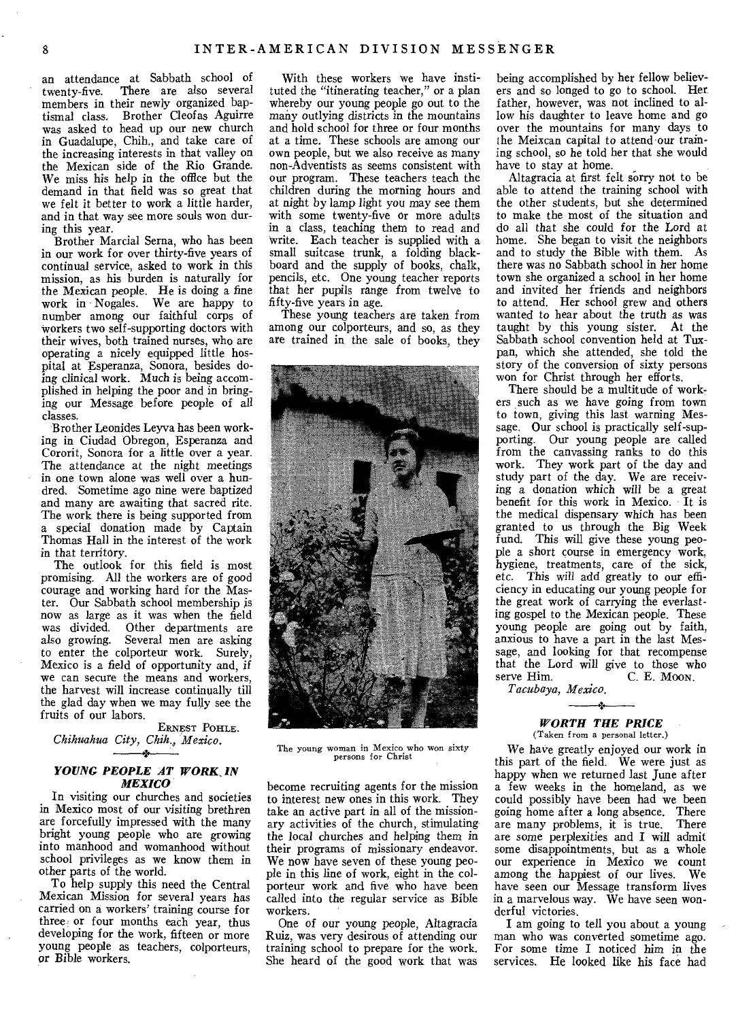an attendance at Sabbath school of twenty-five. There are also several members in their newly organized baptismal class. Brother Cleofas Aguirre was asked to head up our new church in Guadalupe, Chih., and take care of the increasing interests in that valley on the Mexican side of the Rio Grande. We miss his help in the office but the demand in that field was so great that we felt it better to work a little harder, and in that way see more souls won during this year.

Brother Marcial Sema, who has been in our work for over thirty-five years of continual service, asked to work in this mission, as his burden is naturally for the Mexican people. He is doing a fine work in Nogales. We are happy to number among our faithful corps of workers two self-supporting doctors with their wives, both trained nurses, who are operating a nicely equipped little hospital at Esperanza, Sonora, besides doing clinical work. Much is being accomplished in helping the poor and in bringing our Message before people of all classes.

Brother Leonides Leyva has been working in Ciudad Obregon, Esperanza and Cororit, Sonora for a little over a year. The attendance at the night meetings in one town alone was well over a hundred, Sometime ago nine were baptized and many are awaiting that sacred rite. The work there is being supported from a special donation made by Captain Thomas Hall in the interest of the work in that territory.

The outlook for this field is most promising. All the workers are of good courage and working hard for the Master. Our Sabbath school membership is now as large as it was when the field Other departments are also growing. Several men are asking to enter the colporteur work. Surely, Mexico is a field of opportunity and, if we can secure the means and workers, the harvest will increase continually till the glad day when we may fully see the fruits of our labors.

ERNEST POHLE. *Chihuahua City, Chih., Mexico.* 

# *YOUNG PEOPLE AT WORK, IN MEXICO*

In visiting our churches and societies in Mexico most of our visiting brethren are forcefully impressed with the many bright young people who are growing into manhood and womanhood without school privileges as we know them in other parts of the world.

To help supply this need the Central Mexican Mission for several years has carried on a workers' training course for three or four months each year, thus developing for the work, fifteen or more young people as teachers, colporteurs, or Bible workers.

With these workers we have instituted the "itinerating teacher," or a plan whereby our young people go out to the many *outlying* districts in the mountains and hold school for three or four months at a time. These schools are among our own people, but we also receive as many non-Adventists as seems consistent with our program. These teachers teach the children during the morning hours and at night by lamp light you may see them with some twenty-five or more adults in a class, teaching them to read and Write. Each teacher is supplied with a small suitcase trunk, a folding blackboard and the supply of books, chalk, pencils, etc. One young teacher reports that her pupils range from twelve to fifty-five years in age.

These young teachers are taken from among our colporteurs, and so, as they are trained in the sale of books, they



The young woman in Mexico who won sixty<br>persons for Christ

become recruiting agents for the mission to interest new ones in this work. They take an active part in all of the missionary activities of the church, stimulating the local churches and helping them in their programs of missionary endeavor. We now have seven of these young people in this line of work, eight in the colporteur work and five who have been called into the regular service as Bible workers.

One of our young people, Altagracia Ruiz, was very desirous of attending our training school to prepare for the work. She heard of the good work that was being accomplished by her fellow believers and so longed to go to school. Her father, however, was not inclined to allow his daughter to leave home and go over the mountains for many days to the Meixcan capital to attend our training school, so he told her that she would have to stay at home.

Altagracia at first felt sorry not to be able to attend the training school with the other students, but she determined to make the most of the situation and do all that she could for the Lord at home. She began to visit the neighbors and to study the Bible with them. As there was no Sabbath school in her home town she organized a school in her home and invited her friends and neighbors to attend. Her school grew and others wanted to hear about the truth as was taught by this young sister. At the Sabbath school convention held at Tuxpan, which she attended, she told the story of the conversion of sixty persons won for Christ through her efforts.

There should be a multitude of workers such as we have going from town to town, giving this last warning Message. Our school is practically self-supporting. Our young people are called from the canvassing ranks to do this work. They work part of the day and study part of the day. We are receiving a donation which will be a great benefit for this work in Mexico. It is the medical dispensary which has been granted to us through the Big Week fund. This will give these young people a short course in emergency work, hygiene, treatments, care of the sick, etc. This will add greatly to our efficiency in educating our young people for the great work of carrying the everlasting gospel to the Mexican people. These young people are going out by faith, anxious to have a part in the last Message, and looking for that recompense that the Lord will give to those who serve Him. C. E. Moon.

*Tacubaya, Mexico.* 

#### *WORTH THE PRICE*  (Taken from a personal letter.)

We have greatly enjoyed our work in this part of the field. We were just as happy when we returned last June after a few weeks in the homeland, as we could possibly have been had we been going home after a long absence. There<br>are many problems, it is true. There are many problems, it is true. are some perplexities and I will admit some disappointments, but as a whole our experience in Mexico we count among the happiest of our lives. We have seen our Message transform lives in a marvelous way. We have seen wonderful victories.

I am going to tell you about a young man who was converted sometime ago. For some time I noticed him in the services. He looked like his face had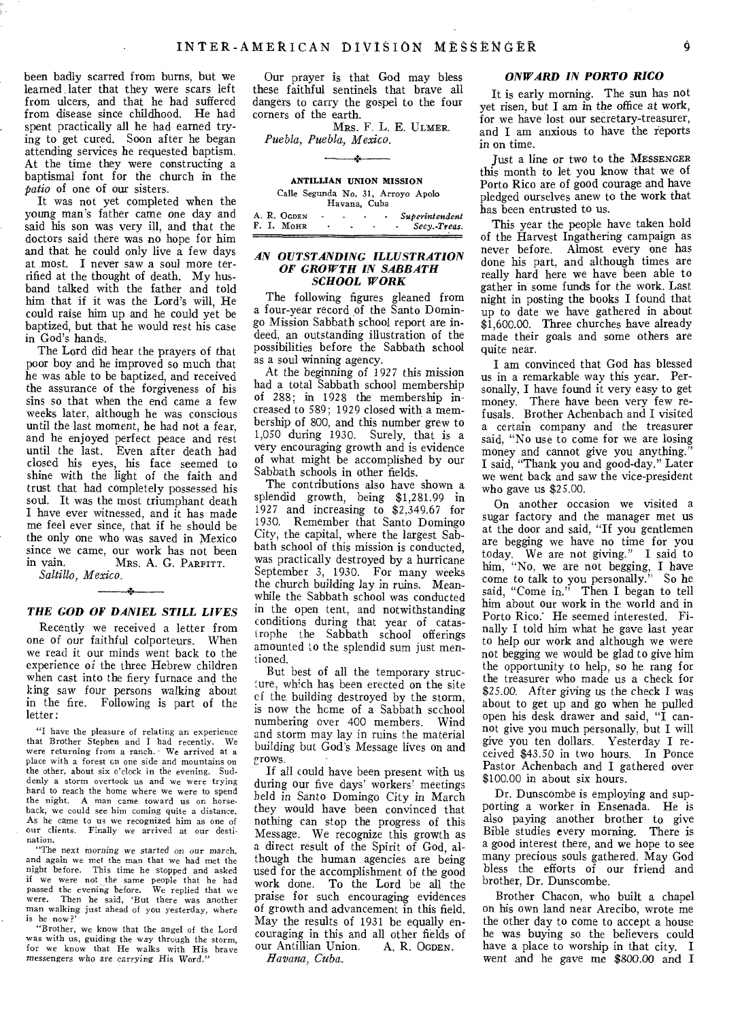been badly scarred from burns, but we learned, later that they were scars left from ulcers, and that he had suffered from disease since childhood. He had spent practically all he had earned trying to get cured. Soon after he began attending services he requested baptism. At the time they were constructing a baptismal font for the church in the *patio* of one of our sisters.

It was not yet completed when the young man's father came one day and said his son was very ill, and that the doctors said there was no hope for him and that he could only live a few days at most. I never saw a soul more terrified at the thought of death. My husband talked with the father and told him that if it was the Lord's will, He could raise him up and he could yet be baptized, but that he would rest his case in God's hands.

The Lord did hear the prayers of that poor boy and he improved so much that he was able to be baptized, and received the assurance of the forgiveness of his sins so that when the end came a few weeks later, although he was conscious until the last moment, he had not a fear, and he enjoyed perfect peace and rest until the last. Even after death had closed his eyes, his face seemed to shine with the light of the faith and trust that had completely possessed his soul. It was the most triumphant death I have ever witnessed, and it has made me feel ever since, that if he should be the only one who was saved in Mexico since we came, our work has not been<br>in vain. Mes  $A$   $C$  Paperty MRS. A. G. PARFITT.

*Saltillo, Mexico.*   $\mathbf{r}$ 

#### *THE GOD OF DANIEL STILL LIVES*

Recently we received a letter from one of our faithful colporteurs. When we read it our minds went back to the experience of the three Hebrew children when cast into the fiery furnace and the king saw four persons walking about in the fire. Following is part of the letter:

"I have the pleasure of relating an experience that Brother Stephen and I had recently. We were returning from a ranch. We arrived at a place with a forest on one side and mountains on the other, about six o'clock in the evening. Suddenly a storm overtook us and we were trying hard to reach the home where we were to spend the night. A man came toward us on horse-back, we could see him coming quite a distance. As he came to us we recognized him as one of our clients. Finally we arrived at our destination.

"The next *morning we started on* our march, and again we met the man that we had met the night before. This time he stopped and asked if we were not the same people that he had passed the evening before. We replied that we were. Then he said, 'But there was another man walking just ahead of you yesterday, where is he now?

"Brother, we know that the angel of the Lord was with us, guiding the way through the storm, for we know that He walks with His brave *messengers* who are carrying His Word."

Our prayer is that God may bless these faithful sentinels that brave all dangers to carry the gospel to the four corners of the earth.

MRS. F. L. E. ULMER. *Puebla, Puebla, Mexico.* 

| A. R. OGDEN |  |  | Superintendent |
|-------------|--|--|----------------|
| F. I. MOHR  |  |  | Secy.-Treas.   |
|             |  |  |                |

# *AN OUTSTANDING ILLUSTRATION OF GROWTH IN SABBATH SCHOOL WORK*

The following figures gleaned from a four-year record of the Santo Domingo Mission Sabbath school report are indeed, an outstanding illustration of the possibilities before the Sabbath school as a soul winning agency.

At the beginning of 1927 this mission had a total Sabbath school membership of 288; in 1928 the membership increased to 589; 1929 closed with a membership of 800, and this number grew to 1,050 during 1930. Surely, that is a very encouraging growth and is evidence of what might be accomplished by our Sabbath schools in other fields.

The contributions also have shown a splendid growth, being \$1,281.99 in 1927 and increasing to \$2,349.67 for 1930. Remember that Santo Domingo City, the capital, where the largest Sabbath school of this mission is conducted, was practically destroyed by a hurricane September *3,* 1930. For many weeks the church building lay in ruins. Meanwhile the Sabbath school was conducted in the open tent, and notwithstanding conditions during that year of catastrophe the Sabbath school offerings amounted to the splendid sum just mentioned.

But best of all the temporary structure, which has been erected on the site of the building destroyed by the storm, is now the hcme of a Sabbath scchool numbering over 400 members. Wind and storm may lay in ruins the material building but God's Message lives on and grows.

If all could have been present with us during our five days' workers' meetings held in Santo Domingo City in March they would have been convinced that nothing can stop the progress of this Message. We recognize this growth as a direct result of the Spirit of God, although the human agencies are being used for the accomplishment of the good work done. To the Lord be all the praise for such encouraging evidences of growth and advancement in this field. May the results of 1931 be equally encouraging in this and all other fields of<br>our Antillian Union. A. R. OGDEN. our Antillian Union. *Havana, Cuba.* 

# *ONWARD IN PORTO RICO*

It is early morning. The sun has not yet risen, but I am in the office at work, for we have lost our secretary-treasurer, and I am anxious to have the feports in on time.

Just a line or two to the MESSENGER this month to let you know that we of Porto Rico are of good courage and have pledged ourselves anew to the work that has been entrusted to us.

This year the people have taken hold of the Harvest Ingathering campaign as never before. Almost every one has done his part, and although times are really hard here we have been able to gather in some funds for the work. Last night in posting the books I found that up to date we have gathered in about \$1,600.00. Three churches have already made their goals and some others are quite near.

I am convinced that God has blessed us in a remarkable way this year. Personally, I have found it very easy to get money. There have been very few refusals. Brother Achenbach and I visited a certain company and the treasurer said, "No use to come for we are losing money and cannot give you anything." I said, "Thank you and good-day." Later we went back and saw the vice-president who gave us \$25.00.

On another occasion we visited a sugar factory and the manager met us at the door and said, "If you gentlemen are begging we have no time for you today. We are not giving." I said to him, "No, we are not begging, I have come to talk to you personally." So he said, "Come in." Then I began to tell him about our work in the world and in Porto Rico.' He seemed interested. Finally I told him what he gave last year to help our work and although we were not begging we would be glad to give him the opportunity to help, so he rang for the treasurer who made us a check for \$25.00. After giving us the check I was about to get up and go when he pulled open his desk drawer and said, "I cannot give you much personally, but I will give you ten dollars. Yesterday I received \$43.50 in two hours. In Ponce Pastor Achenbach and I gathered over \$100.00 in about six hours.

Dr. Dunscombe is employing and supporting a worker in Ensenada. He is also paying another brother to give Bible studies every morning. There is a good interest there, and we hope to see many precious souls gathered. May God bless the efforts of our friend and brother, Dr. Dunscombe.

Brother Chacon, who built a chapel on his own land near Arecibo, wrote me the other day to come to accept a house he was buying so the believers could have a place to worship in that city. I went and he gave me \$800.00 and I

 $\frac{1}{2}$ 

**ANTILLIAN UNION MISSION**  Calle Segunda No. 31, Arroyo Apolo Havana, Cuba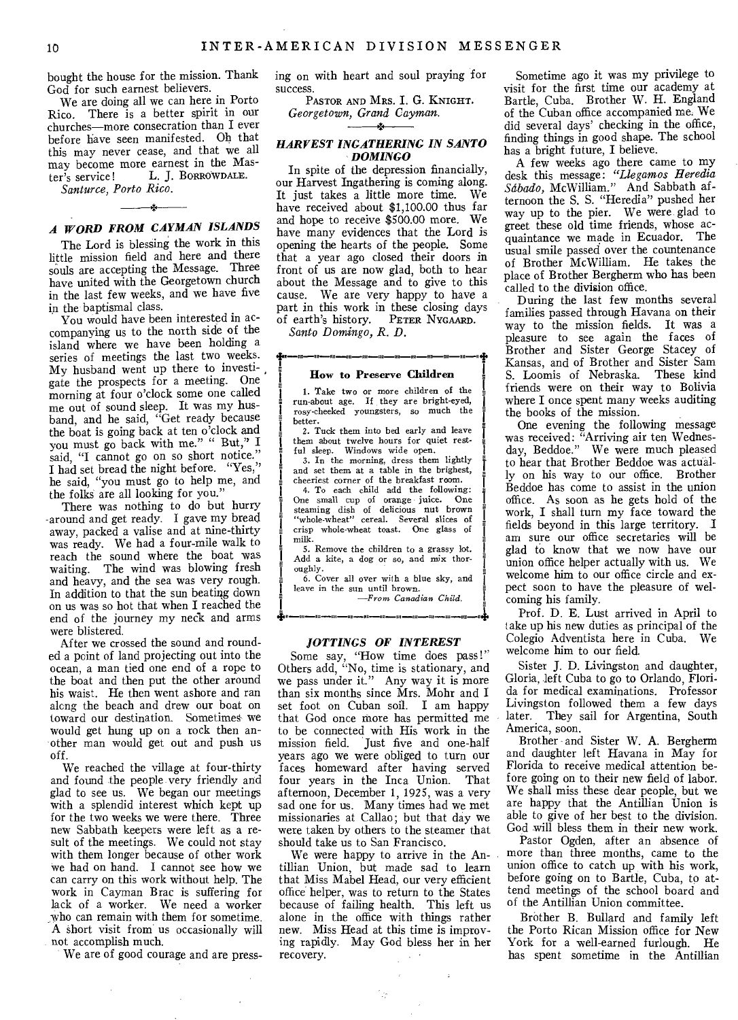bought the house for the mission. Thank God for such earnest believers.

We are doing all we can here in Porto Rico. There is a better spirit in our churches—more consecration than I ever before have seen manifested. Oh that this may never cease, and that we all may become more earnest in the Master's service! L. J. BORROWDALE. L. J. BORROWDALE. *Santurce, Porto Rico.* 

 $\mathcal{A}_\mathcal{A}$ *A WORD FROM CAYMAN ISLANDS* 

The Lord is blessing the work in this little mission field and here and there souls are accepting the Message. Three have united with the Georgetown church in the last few weeks, and we have five in the baptismal class.

You would have been interested in accompanying us to the north side of the island where we have been holding a series of meetings the last two weeks. My husband went up there to investigate the prospects for a meeting. One morning at four o'clock some one called me out of sound sleep. It was my husband, and he said, "Get ready because the boat is going back at ten o'clock and you must go back with me." " But," I said, "I cannot go on so short notice." I had set bread the night before. "Yes," he said, "you must go to help me, and the folks are all looking for you."

There was nothing to do but hurry -around and get ready. I gave my bread away, packed a valise and at nine-thirty was ready. We had a four-mile walk to reach the sound where the boat was waiting. The wind was blowing fresh and heavy, and the sea was very rough. In addition to that the sun beating down on us was so hot that when I reached the end of the journey my neck and arms were blistered.

After we crossed the sound and rounded a point of land projecting out into the ocean, a man tied one end of a rope to the boat and then put the other around his waist. He then went ashore and ran alcng the beach and drew our boat on toward our destination. Sometimes- we would get hung up on a rock then another man would get out and push us off.

We reached the village at four-thirty and found the people very friendly and glad to see us. We began our meetings with a splendid interest which kept up for the two weeks we were there. Three new Sabbath keepers were left as a result of the meetings. We could not stay with them longer because of other work we had on hand. I cannot see how we can carry on this work without help. The work in Cayman Brac is suffering for lack of a worker. We need a worker who can remain with them for sometime. A short visit from us occasionally will not accomplish much.

We are of good courage and are press-

ing on with heart and soul praying for success.

PASTOR AND MRS. I. G. KNIGHT. *Georgetown, Grand Cayman.*  ÷.

## *HARVEST INGATHERING IN SANTO DOMINGO*

In spite of the depression financially, our Harvest Ingathering is coming along. It just takes a little more time. We have received about \$1,100.00 thus far and hope to receive \$500.00 more. We have many evidences that the Lord is opening the hearts of the people. Some that a year ago closed their doors in front of us are now glad, both to hear about the Message and to give to this cause. We are very happy to have a part in this work in these closing days of earth's history. PETER NYGAARD.

*Santo Domingo, R. D.* 

# MI 1 110 1 UN 110 **How to Preserve Children**

1. Take two or more children of the run-about age. If they are bright-eyed, rosy-cheeked youngsters, so much the better.

2. Tuck them into bed early and leave them about twelve hours for quiet restful sleep. Windows wide open. 3. In the morning, dress them lightly

and set them at a table in the brighest, cheeriest corner of the breakfast room.

4. To each child add the following: One small cup of orange juice. One steaming dish of delicious nut brown "whole-wheat" cereal. Several slices of crisp whole-wheat toast. One glass of milk.

5. Remove the children to a grassy lot. Add a kite, a dog or so, and mix thoroughly.

6. Cover all over with a blue sky, and leave in the sun until brown.

*—Frees Canadian Child.* 

11 - 1

#### *JOTTINGS OF INTEREST*

Some say, "How time does pass!" Others add, "No, time is stationary, and we pass under it." Any way it is more than six months since Mrs. Mohr and I set foot on Cuban soil. I am happy that God once more has permitted me to be connected with His work in the mission field. Just five and one-half years ago we were obliged to turn our faces homeward after having served<br>four years in the Inca Union. That four years in the Inca Union. afternoon, December 1, 1925, was a very sad one for us. Many times had we met missionaries at Callao; but that day we were taken by others to the steamer that should take us to San Francisco.

We were happy to arrive in the Antillian Union, but made sad to learn that Miss Mabel Head, our very efficient office helper, was to return to the States because of failing health. This left us alone in the office with things rather new. Miss Head at this time is improving rapidly. May God bless her in her recovery.

V.

 $\mathcal{A}$ 

Sometime ago it was my privilege to visit for the first time our academy at Bartle, Cuba. Brother W. H. England of the Cuban office accompanied me. We did several days' checking in the office, finding things in good shape. The school has a bright future, I believe.

A few weeks ago there came to my desk this message: *"Llegamos Heredia Sdbado,* McWilliam." And Sabbath afternoon the S. S. "Heredia" pushed her way up to the pier. We were glad to greet these old time friends, whose acquaintance we made in Ecuador. The usual smile passed over the countenance of Brother McWilliam. He takes the place of Brother Bergherm who has been called to the division office.

During the last few months several families passed through Havana on their way to the mission fields. It was a pleasure to see again the faces of Brother and Sister George Stacey of Kansas, and of Brother and Sister Sam S. Loomis of Nebraska. These kind friends were on their way to Bolivia where I once spent many weeks auditing the books of the mission.

One evening the following message was received: "Arriving air ten Wednesday, Beddoe." We were much pleased to hear that Brother Beddoe was actually on his way to our office. Brother Beddoe has come to assist in the union office. As soon as he gets hold of the work, I shall turn my face toward the fields beyond in this large territory. I am sure our office secretaries will be glad to know that we now have our union office helper actually with us. We welcome him to our office circle and expect soon to have the pleasure of welcoming his family.

Prof. D. E. Lust arrived in April to take up his new duties as principal of the Colegio Adventista here in Cuba. We welcome him to our field.

Sister J. D. Livingston and daughter, Gloria, left Cuba to go to Orlando, Florida for medical examinations. Professor Livingston followed them a few days later. They sail for Argentina, South America, soon.

Brother and Sister W. A. Bergherm and daughter left Havana in May for Florida to receive medical attention before going on to their new field of labor. We shall miss these dear people, but we are happy that the Antillian Union is able to give of her best to the division. God will bless them in their new work.

Pastor Ogden, after an absence of more than three months, came to the union office to catch up with his work, before going on to Bartle, Cuba, to attend meetings of the school board and of the Antillian Union committee.

Brother B. Bullard and family left the Porto Rican Mission office for New York for a well-earned furlough. He has spent sometime in the Antillian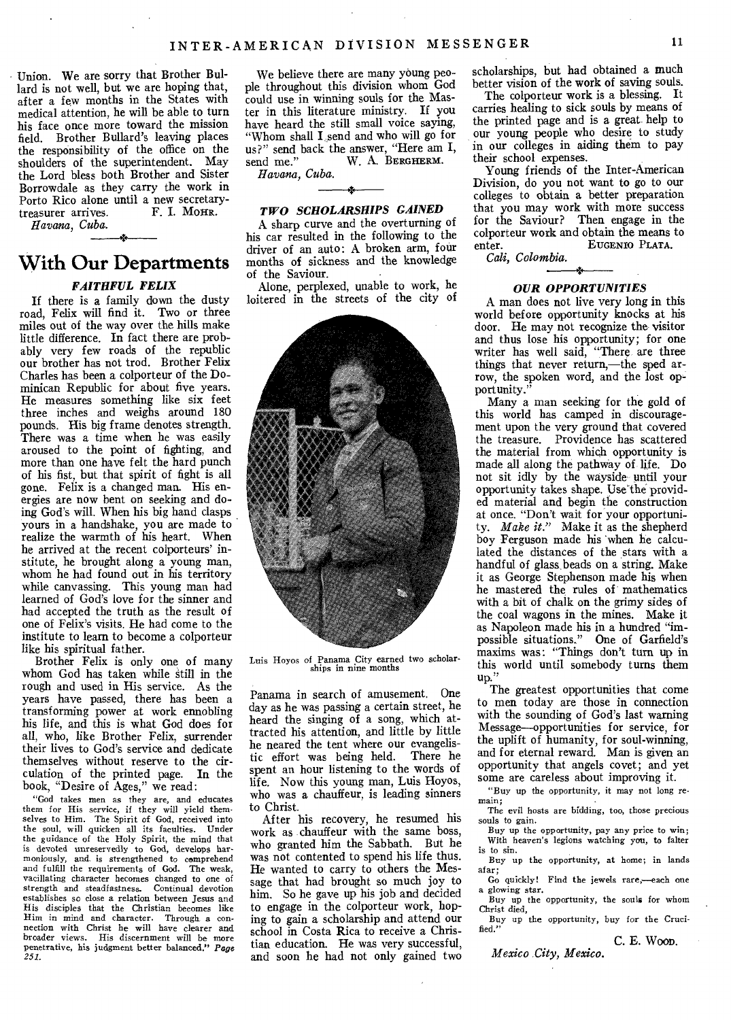Union. We are sorry that Brother Bullard is not well, but we are hoping that. after a few months in the States with medical attention, he will be able to turn his face once more toward the mission field. Brother Bullard's leaving places the responsibility of the office on the shoulders of the superintendent. May the Lord bless both Brother and Sister Borrowdale as they carry the work in Porto Rico alone until a new secretary-<br>treasurer arrives F I. MOHR. treasurer arrives.

*Havana, Cuba.* 

# **With Our Departments**

# *FAITHFUL FELIX*

If there is a family down the dusty road, Felix will find it. Two or three miles out of the way over the hills make little difference. In fact there are probably very few roads of the republic our brother has not trod. Brother Felix Charles has been a colporteur of the Dominican Republic for about five years. He measures something like six feet three inches and weighs around 180 pounds. His big frame denotes strength. There was a time when he was easily aroused to the point of fighting, and more than one have felt the hard punch of his fist, but that spirit of fight is all gone. Felix is a changed man. His energies are now bent on seeking and doing God's will. When his big hand clasps yours in a handshake, you are made to realize the warmth of his heart. When he arrived at the recent colporteurs' institute, he brought along a young man, whom he had found out in his territory while canvassing. This young man had learned of God's love for the sinner and had accepted the truth as the result of one of Felix's visits. He had come to the institute to learn to become a colporteur like his spiritual father.

Brother Felix is only one of many whom God has taken while still in the rough and used in His service. As the years have passed, there has been a transforming power at work ennobling his life, and this is what God does for all, who, like Brother Felix, surrender their lives to God's service and dedicate themselves without reserve to the circulation of the printed page. In the book, "Desire of Ages," we read:

"God takes men as they are, and educates them for His service, if they will yield them-selves to Him. The Spirit of God, received into the soul, will quicken all its faculties. Under the guidance of the Holy Spirit, the mind that is devoted unreservedly to God, develops harmoniously, and. is strengthened to comprehend and fulfill the requirements of God. The weak, vacillating character becomes changed to one of strength and steadfastness. Continual devotion establishes so close a relation between Jesus and His disciples that the Christian becomes like Him in mind and character. Through a con-nection with Christ he will have clearer and broader views. His discernment will be more penetrative, his judgment better balanced." *Page 251.* 

We believe there are many young people throughout this division whom God could use in winning souls for the Master in this literature ministry. If you have heard the still small voice saying, "Whom shall I send and who will go for us?" send back the answer, "Here am I, send me" W A. BERGHERM. W. A. BERGHERM. *Havana, Cuba.* 

# *TWO SCHOLARSHIPS GAINED*

A sharp curve and the overturning of his car resulted in the following to the driver of an auto: A broken arm, four months of sickness and the knowledge of the Saviour.

Alone, perplexed, unable to work, he loitered in the streets of the city of



Luis Hoyos of Panama City earned two scholar. ships in nine months

Panama in search of amusement. One day as he was passing a certain street, he heard the singing of a song, which attracted his attention, and little by little he neared the tent where our evangelistic effort was being held. There he tic effort was being held. spent an hour listening to the words of life. Now this young man, Luis Hoyos, who was a chauffeur, is leading sinners to Christ.

After his recovery, he resumed his work as chauffeur with the same boss, who granted him the Sabbath. But he was not contented to spend his life thus. He wanted to carry to others the Message that had brought so much joy to him. So he gave up his job and decided to engage in the colporteur work, hoping to gain a scholarship and attend our school in Costa Rica to receive a Christian education. He was very successful, and soon he had not only gained two scholarships, but had obtained a much better vision of the work of saving souls.

The colporteur work is a blessing. It carries healing to sick souls by means of the printed page and is a great- help to our young people who desire to study in our colleges in aiding them to pay their school expenses.

Young friends of the Inter-American Division, do you not want to go to our colleges to obtain a better preparation that you may work with more success for the Saviour? Then engage in the colporteur work and obtain the means to<br>
EUGENIO PLATA. EUGENIO PLATA.

*Cali, Colombia.* 

# *OUR OPPORTUNITIES*

A man does not live very long in this world before opportunity knocks at his door. He may not recognize the visitor and thus lose his opportunity; for one writer has well said, "There are three things that never return,—the sped arrow, the spoken word, and the lost opportunity.'

Many a man seeking for the gold of this world has camped in discouragement upon the very ground that covered the treasure. Providence has scattered the material from which opportunity is made all along the pathway of life. Do not sit idly by the wayside until your opportunity takes shape. Use the provided material and begin the construction at once. "Don't wait for your opportunity. *Make it."* Make it as the shepherd boy Ferguson made his 'when he calculated the distances of the stars with a handful of glass.beads on a string. Make it as George Stephenson made his when he mastered the rules of mathematics with a bit of chalk on the grimy sides of the coal wagons in the mines. Make it as Napoleon made his in a hundred "impossible situations," One of Garfield's maxims was: "Things don't turn up in this world until somebody turns them up."

The greatest opportunities that come to men today are those in connection with the sounding of God's last warning Message—opportunities for service, for the uplift of humanity, for soul-winning, and for eternal reward. Man is given an opportunity that angels covet; and yet some are careless about improving it.

"Buy up the opportunity, it may not long remain;

The evil hosts are bidding, too, those precious souls to gain.

Buy up the opportunity, pay any price to win; With heaven's legions watching you, to falter is to sin.

Buy up the opportunity, at home; in lands afar;

Go quickly! Find the jewels rare,—each one a glowing star.

Buy up the opportunity, the souls for whom Christ died,

Buy up the opportunity, buy for the Crucified."

C. E. Woon.

*Mexico City, Mexico.*